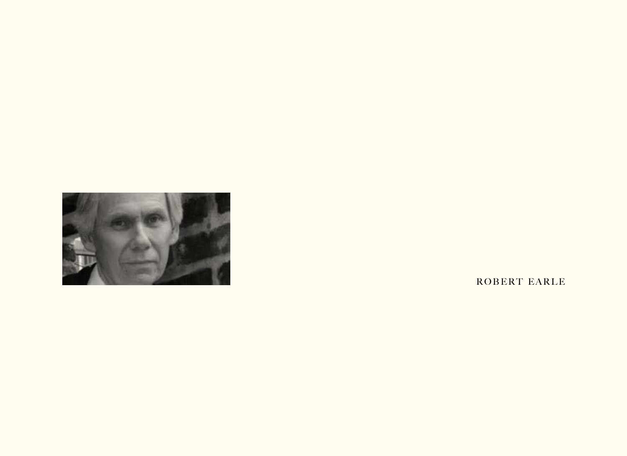

ROBERT EARLE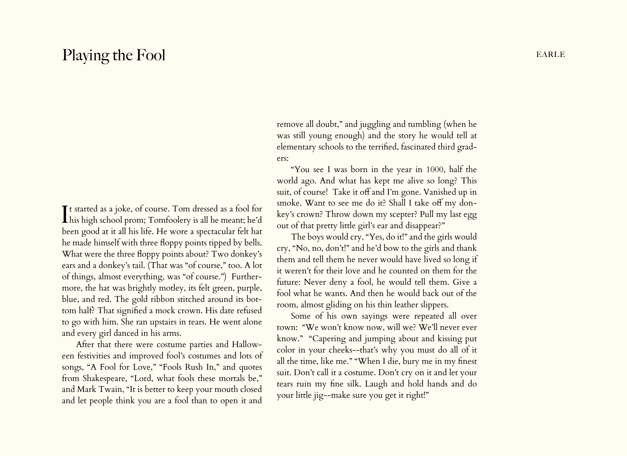## Playing the Fool EARLE

It started as a joke, of course. Tom dressed as a fool for<br>his high school prom; Tomfoolery is all he meant; he'd t started as a joke, of course. Tom dressed as a fool for been good at it all his life. He wore a spectacular felt hat he made himself with three floppy points tipped by bells. What were the three floppy points about? Two donkey's ears and a donkey's tail. (That was "of course," too. A lot of things, almost everything, was "of course.") Furthermore, the hat was brightly motley, its felt green, purple, blue, and red. The gold ribbon stitched around its bottom half? That signified a mock crown. His date refused to go with him. She ran upstairs in tears. He went alone and every girl danced in his arms.

After that there were costume parties and Halloween festivities and improved fool's costumes and lots of songs, "A Fool for Love," "Fools Rush In," and quotes from Shakespeare, "Lord, what fools these mortals be," and Mark Twain, "It is better to keep your mouth closed and let people think you are a fool than to open it and

remove all doubt," and juggling and tumbling (when he was still young enough) and the story he would tell at elementary schools to the terrified, fascinated third graders:

"You see I was born in the year in 1000, half the world ago. And what has kept me alive so long? This suit, of course! Take it off and I'm gone. Vanished up in smoke. Want to see me do it? Shall I take off my donkey's crown? Throw down my scepter? Pull my last egg out of that pretty little girl's ear and disappear?"

The boys would cry, "Yes, do it!" and the girls would cry, "No, no, don't!" and he'd bow to the girls and thank them and tell them he never would have lived so long if it weren't for their love and he counted on them for the future: Never deny a fool, he would tell them. Give a fool what he wants. And then he would back out of the room, almost gliding on his thin leather slippers.

Some of his own sayings were repeated all over town: "We won't know now, will we? We'll never ever know." "Capering and jumping about and kissing put color in your cheeks--that's why you must do all of it all the time, like me." "When I die, bury me in my finest suit. Don't call it a costume. Don't cry on it and let your tears ruin my fine silk. Laugh and hold hands and do your little jig--make sure you get it right!"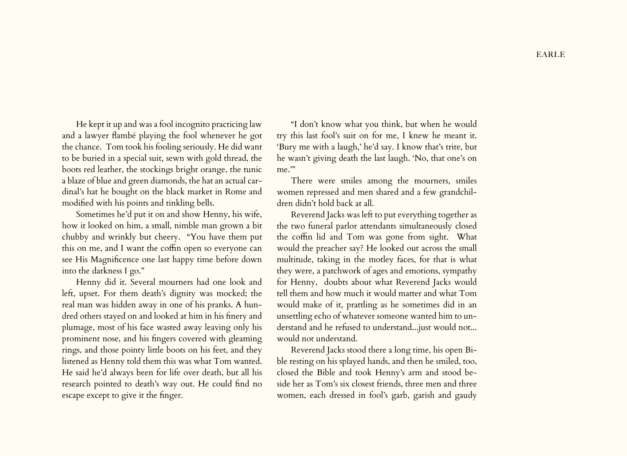He kept it up and was a fool incognito practicing law and a lawyer flambé playing the fool whenever he got the chance. Tom took his fooling seriously. He did want to be buried in a special suit, sewn with gold thread, the boots red leather, the stockings bright orange, the tunic a blaze of blue and green diamonds, the hat an actual cardinal's hat he bought on the black market in Rome and modified with his points and tinkling bells.

Sometimes he'd put it on and show Henny, his wife, how it looked on him, a small, nimble man grown a bit chubby and wrinkly but cheery. "You have them put this on me, and I want the coffin open so everyone can see His Magnificence one last happy time before down into the darkness I go."

Henny did it. Several mourners had one look and left, upset. For them death's dignity was mocked; the real man was hidden away in one of his pranks. A hundred others stayed on and looked at him in his finery and plumage, most of his face wasted away leaving only his prominent nose, and his fingers covered with gleaming rings, and those pointy little boots on his feet, and they listened as Henny told them this was what Tom wanted. He said he'd always been for life over death, but all his research pointed to death's way out. He could find no escape except to give it the finger.

"I don't know what you think, but when he would try this last fool's suit on for me, I knew he meant it. 'Bury me with a laugh,' he'd say. I know that's trite, but he wasn't giving death the last laugh. 'No, that one's on me."

There were smiles among the mourners, smiles women repressed and men shared and a few grandchildren didn't hold back at all.

Reverend Jacks was left to put everything together as the two funeral parlor attendants simultaneously closed the coffin lid and Tom was gone from sight. What would the preacher say? He looked out across the small multitude, taking in the motley faces, for that is what they were, a patchwork of ages and emotions, sympathy for Henny, doubts about what Reverend Jacks would tell them and how much it would matter and what Tom would make of it, prattling as he sometimes did in an unsettling echo of whatever someone wanted him to understand and he refused to understand...just would not... would not understand.

Reverend Jacks stood there a long time, his open Bible resting on his splayed hands, and then he smiled, too, closed the Bible and took Henny's arm and stood beside her as Tom's six closest friends, three men and three women, each dressed in fool's garb, garish and gaudy